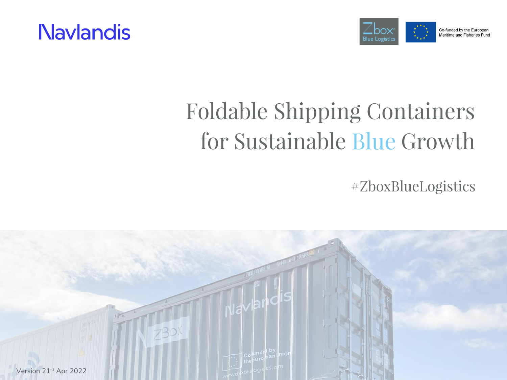



# **Foldable Shipping Containers** for Sustainable Blue Growth

#ZboxBlueLogistics

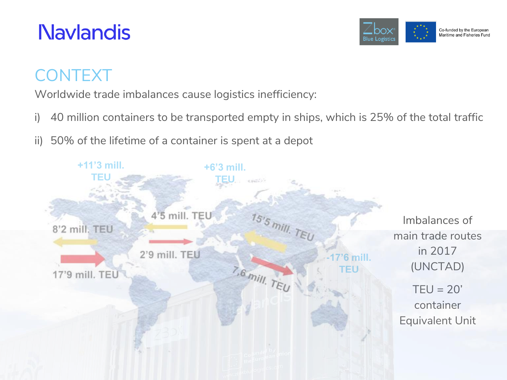

## CONTEXT

Worldwide trade imbalances cause logistics inefficiency:

- i) 40 million containers to be transported empty in ships, which is 25% of the total traffic
- ii) 50% of the lifetime of a container is spent at a depot

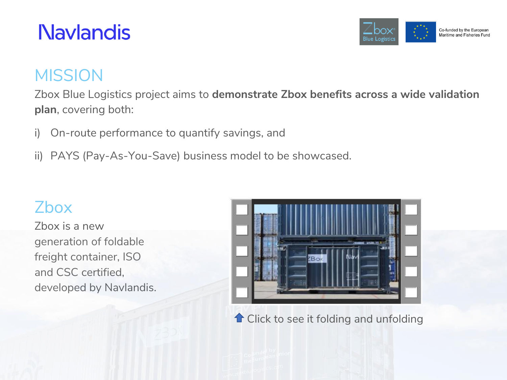

#### **MISSION**

Zbox Blue Logistics project aims to **demonstrate Zbox benefits across a wide validation plan**, covering both:

- i) On-route performance to quantify savings, and
- ii) PAYS (Pay-As-You-Save) business model to be showcased.

#### Zbox

Zbox is a new generation of foldable freight container, ISO and CSC certified, developed by Navlandis.



**T** Click to see it folding and unfolding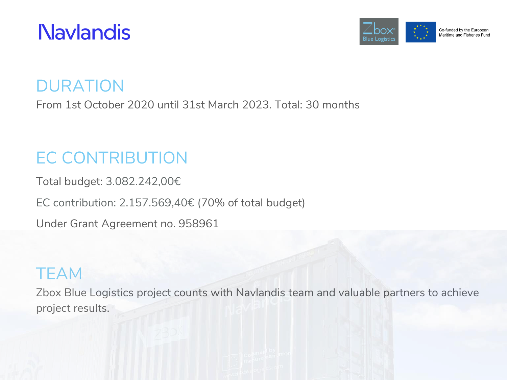



DURATION

From 1st October 2020 until 31st March 2023. Total: 30 months

## EC CONTRIBUTION

Total budget: 3.082.242,00€

EC contribution: 2.157.569,40€ (70% of total budget)

Under Grant Agreement no. 958961

#### **TEAM**

Zbox Blue Logistics project counts with Navlandis team and valuable partners to achieve project results.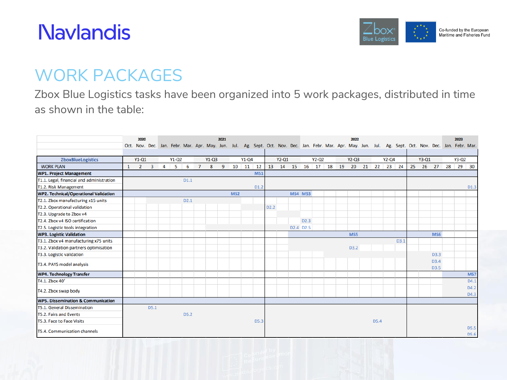

#### WORK PACKAGES

Zbox Blue Logistics tasks have been organized into 5 work packages, distributed in time as shown in the table:

|                                               |   | 2020           |                         |   |         |                                                                                                                                                          |                |         | 2021 |                 |         |                  |                  |                             |                                   |         |  | 2022             |                  |           |                  |    |         |                   | 2023    |                  |
|-----------------------------------------------|---|----------------|-------------------------|---|---------|----------------------------------------------------------------------------------------------------------------------------------------------------------|----------------|---------|------|-----------------|---------|------------------|------------------|-----------------------------|-----------------------------------|---------|--|------------------|------------------|-----------|------------------|----|---------|-------------------|---------|------------------|
|                                               |   |                |                         |   |         | Oct. Nov. Dec. Jan. Febr. Mar. Apr. May. Jun. Jul. Ag. Sept. Oct. Nov. Dec. Jan. Febr. Mar. Apr. May. Jun. Jul. Ag. Sept. Oct. Nov. Dec. Jan. Febr. Mar. |                |         |      |                 |         |                  |                  |                             |                                   |         |  |                  |                  |           |                  |    |         |                   |         |                  |
|                                               |   |                |                         |   |         |                                                                                                                                                          |                |         |      |                 |         |                  |                  |                             |                                   |         |  |                  |                  |           |                  |    |         |                   |         |                  |
| <b>ZboxBlueLogistics</b>                      |   | $Y1 - Q1$      |                         |   | $Y1-Q2$ |                                                                                                                                                          |                | $Y1-Q3$ |      |                 | $Y1-Q4$ |                  |                  | $Y2 - Q1$                   |                                   | $Y2-Q2$ |  | $Y2 - Q3$        |                  | $Y2 - Q4$ |                  |    | $Y3-Q1$ |                   | $Y3-Q2$ |                  |
| <b>WORK PLAN</b>                              | 1 | $\overline{2}$ | $\overline{\mathbf{3}}$ | 4 | 5       | 6                                                                                                                                                        | $\overline{7}$ | 8       | 9    | 10              | 11 12   |                  | 13               | 14   15   16   17   18   19 |                                   |         |  | 20 21 22 23 24   |                  |           |                  | 25 |         | 26 27 28          |         | 29 30            |
| <b>WP1. Project Management</b>                |   |                |                         |   |         |                                                                                                                                                          |                |         |      |                 |         | <b>MS1</b>       |                  |                             |                                   |         |  |                  |                  |           |                  |    |         |                   |         |                  |
| T1.1. Legal, financial and administration     |   |                |                         |   |         | D <sub>1.1</sub>                                                                                                                                         |                |         |      |                 |         |                  |                  |                             |                                   |         |  |                  |                  |           |                  |    |         |                   |         |                  |
| T1.2. Risk Management                         |   |                |                         |   |         |                                                                                                                                                          |                |         |      |                 |         | D <sub>1.2</sub> |                  |                             |                                   |         |  |                  |                  |           |                  |    |         |                   |         | D <sub>1.3</sub> |
| <b>WP2. Technical/Operational Validation</b>  |   |                |                         |   |         |                                                                                                                                                          |                |         |      | MS <sub>2</sub> |         |                  |                  |                             | <b>MS4 MS3</b>                    |         |  |                  |                  |           |                  |    |         |                   |         |                  |
| T2.1. Zbox manufacturing x15 units            |   |                |                         |   |         | D <sub>2.1</sub>                                                                                                                                         |                |         |      |                 |         |                  |                  |                             |                                   |         |  |                  |                  |           |                  |    |         |                   |         |                  |
| T2.2. Operational validation                  |   |                |                         |   |         |                                                                                                                                                          |                |         |      |                 |         |                  | D <sub>2.2</sub> |                             |                                   |         |  |                  |                  |           |                  |    |         |                   |         |                  |
| T2.3. Upgrade to Zbox v4                      |   |                |                         |   |         |                                                                                                                                                          |                |         |      |                 |         |                  |                  |                             |                                   |         |  |                  |                  |           |                  |    |         |                   |         |                  |
| T2.4. Zbox v4 ISO certification               |   |                |                         |   |         |                                                                                                                                                          |                |         |      |                 |         |                  |                  |                             | D <sub>2.3</sub>                  |         |  |                  |                  |           |                  |    |         |                   |         |                  |
| T2.5. Logistic tools integration              |   |                |                         |   |         |                                                                                                                                                          |                |         |      |                 |         |                  |                  |                             | D <sub>2.4</sub> D <sub>2.5</sub> |         |  |                  |                  |           |                  |    |         |                   |         |                  |
| <b>WP3. Logistic Validation</b>               |   |                |                         |   |         |                                                                                                                                                          |                |         |      |                 |         |                  |                  |                             |                                   |         |  | MS5              |                  |           |                  |    |         | MS <sub>6</sub>   |         |                  |
| T3.1. Zbox v4 manufacturing x75 units         |   |                |                         |   |         |                                                                                                                                                          |                |         |      |                 |         |                  |                  |                             |                                   |         |  |                  |                  |           | D <sub>3.1</sub> |    |         |                   |         |                  |
| T3.2. Validation partners optimisation        |   |                |                         |   |         |                                                                                                                                                          |                |         |      |                 |         |                  |                  |                             |                                   |         |  | D <sub>3.2</sub> |                  |           |                  |    |         |                   |         |                  |
| T3.3. Logistic validation                     |   |                |                         |   |         |                                                                                                                                                          |                |         |      |                 |         |                  |                  |                             |                                   |         |  |                  |                  |           |                  |    |         | D <sub>3.3</sub>  |         |                  |
| T3.4. PAYS model analysis                     |   |                |                         |   |         |                                                                                                                                                          |                |         |      |                 |         |                  |                  |                             |                                   |         |  |                  |                  |           |                  |    |         | D3.4              |         |                  |
|                                               |   |                |                         |   |         |                                                                                                                                                          |                |         |      |                 |         |                  |                  |                             |                                   |         |  |                  |                  |           |                  |    |         | D <sub>3</sub> .5 |         |                  |
| <b>WP4. Technology Transfer</b>               |   |                |                         |   |         |                                                                                                                                                          |                |         |      |                 |         |                  |                  |                             |                                   |         |  |                  |                  |           |                  |    |         |                   |         | MS7              |
| T4.1. Zbox 40'                                |   |                |                         |   |         |                                                                                                                                                          |                |         |      |                 |         |                  |                  |                             |                                   |         |  |                  |                  |           |                  |    |         |                   |         | D4.1             |
| T4.2. Zbox swap body                          |   |                |                         |   |         |                                                                                                                                                          |                |         |      |                 |         |                  |                  |                             |                                   |         |  |                  |                  |           |                  |    |         |                   |         | D4.2             |
|                                               |   |                |                         |   |         |                                                                                                                                                          |                |         |      |                 |         |                  |                  |                             |                                   |         |  |                  |                  |           |                  |    |         |                   |         | D4.3             |
| <b>WP5. Dissemination &amp; Communication</b> |   |                |                         |   |         |                                                                                                                                                          |                |         |      |                 |         |                  |                  |                             |                                   |         |  |                  |                  |           |                  |    |         |                   |         |                  |
| <b>T5.1. General Dissemination</b>            |   |                | D5.1                    |   |         |                                                                                                                                                          |                |         |      |                 |         |                  |                  |                             |                                   |         |  |                  |                  |           |                  |    |         |                   |         |                  |
| T5.2. Fairs and Events                        |   |                |                         |   |         | D <sub>5.2</sub>                                                                                                                                         |                |         |      |                 |         |                  |                  |                             |                                   |         |  |                  |                  |           |                  |    |         |                   |         |                  |
| T5.3. Face to Face Visits                     |   |                |                         |   |         |                                                                                                                                                          |                |         |      |                 |         | D5.3             |                  |                             |                                   |         |  |                  | D <sub>5.4</sub> |           |                  |    |         |                   |         |                  |
| T5.4. Communication channels                  |   |                |                         |   |         |                                                                                                                                                          |                |         |      |                 |         |                  |                  |                             |                                   |         |  |                  |                  |           |                  |    |         |                   |         | D5.5<br>D5.6     |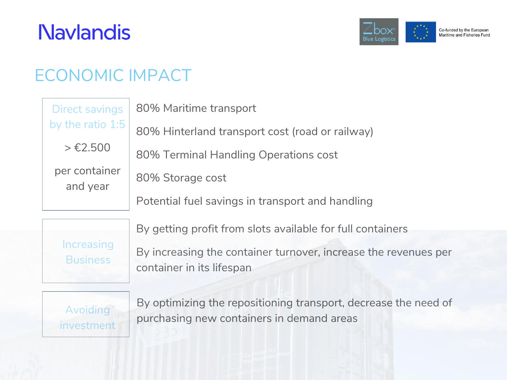

## ECONOMIC IMPACT

| <b>Direct savings</b>     | 80% Maritime transport                           |  |  |  |  |  |  |  |
|---------------------------|--------------------------------------------------|--|--|--|--|--|--|--|
| by the ratio $1:5$        | 80% Hinterland transport cost (road or railway)  |  |  |  |  |  |  |  |
| > €2,500                  | 80% Terminal Handling Operations cost            |  |  |  |  |  |  |  |
| per container<br>and year | 80% Storage cost                                 |  |  |  |  |  |  |  |
|                           | Potential fuel savings in transport and handling |  |  |  |  |  |  |  |
|                           |                                                  |  |  |  |  |  |  |  |

Increasing **Business** 

By getting profit from slots available for full containers

By increasing the container turnover, increase the revenues per container in its lifespan



By optimizing the repositioning transport, decrease the need of purchasing new containers in demand areas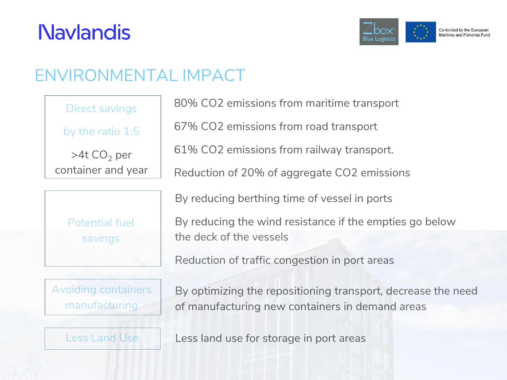

## ENVIRONMENTAL IMPACT

| Direct savings          |
|-------------------------|
| by the ratio 1:5        |
| >4t CO <sub>2</sub> per |
| container and year      |

| <b>Potential fuel</b> |  |
|-----------------------|--|
| savings               |  |
|                       |  |

Avoiding containers manufacturing

80% CO2 emissions from maritime transport

67% CO2 emissions from road transport

61% CO2 emissions from railway transport.

Reduction of 20% of aggregate CO2 emissions

By reducing berthing time of vessel in ports

By reducing the wind resistance if the empties go below the deck of the vessels

Reduction of traffic congestion in port areas

By optimizing the repositioning transport, decrease the need of manufacturing new containers in demand areas

Less Land Use **Less land use for storage in port areas**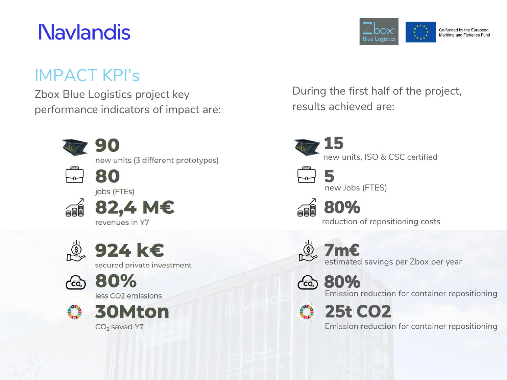#### IMPACT KPI's

Zbox Blue Logistics project key performance indicators of impact are:



During the first half of the project, results achieved are:

**Blue Logistics** 

Co-funded by the European Maritime and Fisheries Fund

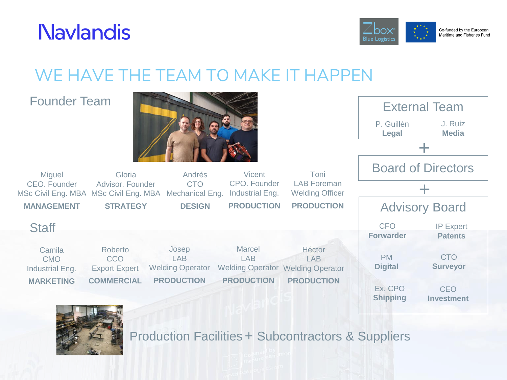

#### Co-funded by the European Maritime and Fisheries Fund

## WE HAVE THE TEAM TO MAKE IT HAPPEN

#### Founder Team

**Miguel** CEO. Founder

**MANAGEMENT**

Camila CMO Industrial Eng. **MARKETING**

**Staff** 



Andrés CTO

**DESIGN**

Josep LAB Welding Operator **PRODUCTION**





MSc Civil Eng. MBA MSc Civil Eng. MBA Mechanical Eng.

Roberto CCO Export Expert **COMMERCIAL**

Gloria Advisor. Founder

**STRATEGY**

Production Facilities + Subcontractors & Suppliers

Vicent CPO. Founder Industrial Eng. **PRODUCTION**

> Marcel LAB

**PRODUCTION**